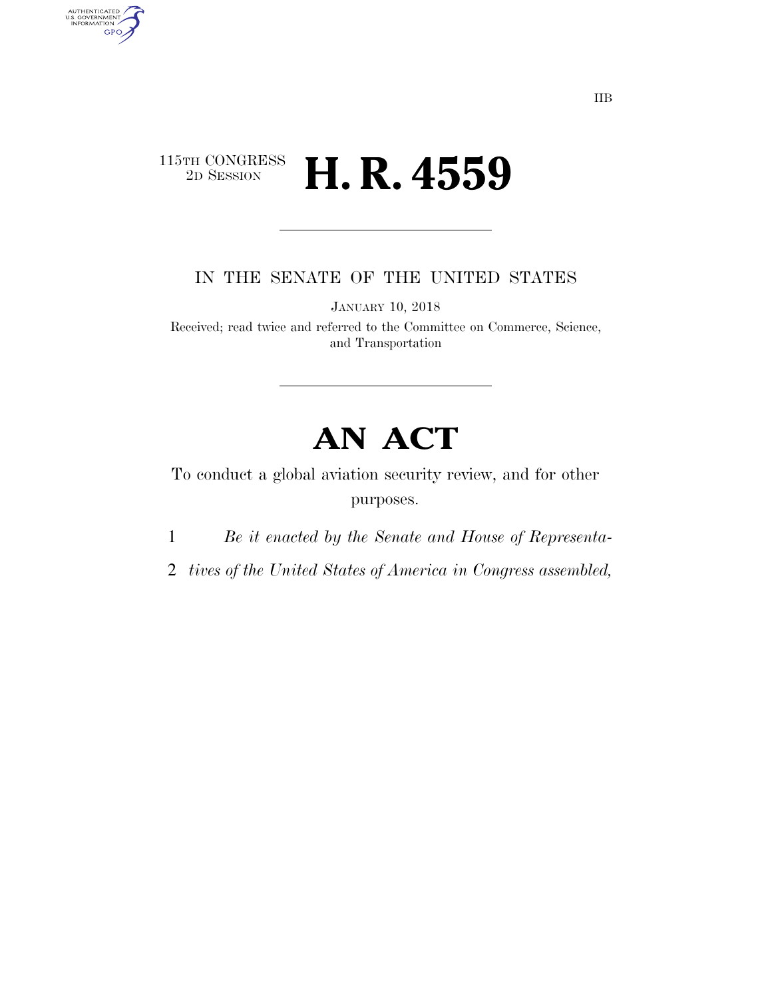## $\begin{array}{c} \textbf{115TH CONGRESS} \\ \textbf{2D} \textbf{Session} \end{array}$ 2D SESSION **H. R. 4559**

AUTHENTICATED<br>U.S. GOVERNMENT<br>INFORMATION

**GPO** 

IN THE SENATE OF THE UNITED STATES

JANUARY 10, 2018

Received; read twice and referred to the Committee on Commerce, Science, and Transportation

# **AN ACT**

To conduct a global aviation security review, and for other purposes.

1 *Be it enacted by the Senate and House of Representa-*

2 *tives of the United States of America in Congress assembled,*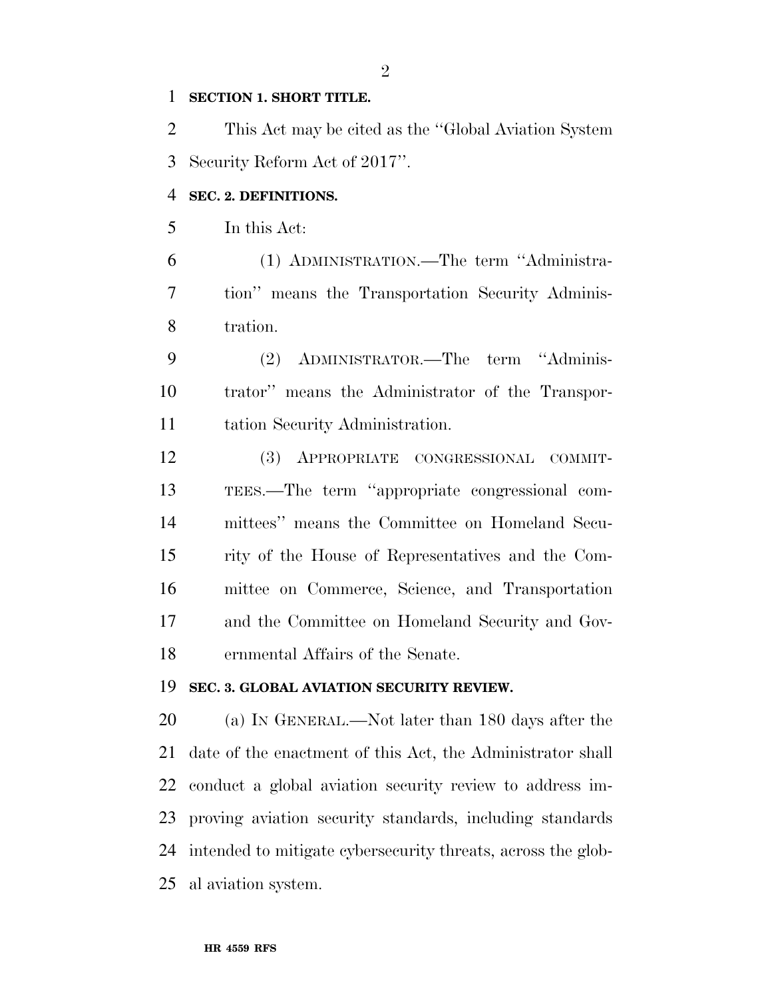#### $\mathbf{1}$ **SECTION 1. SHORT TITLE.**

 $\overline{2}$ This Act may be cited as the "Global Aviation System" 3 Security Reform Act of 2017".

#### $\overline{4}$ SEC. 2. DEFINITIONS.

5 In this Act:

6 (1) ADMINISTRATION.—The term "Administra-7 tion" means the Transportation Security Adminis-8 tration.

9 ADMINISTRATOR.—The term "Adminis- $(2)$ trator" means the Administrator of the Transpor-10 11 tation Security Administration.

12 (3) APPROPRIATE CONGRESSIONAL COMMIT-TEES.—The term "appropriate congressional com-13 14 mittees" means the Committee on Homeland Secu-15 rity of the House of Representatives and the Com-16 mittee on Commerce, Science, and Transportation 17 and the Committee on Homeland Security and Gov-18 ernmental Affairs of the Senate.

#### 19 SEC. 3. GLOBAL AVIATION SECURITY REVIEW.

20 (a) IN GENERAL.—Not later than 180 days after the 21 date of the enactment of this Act, the Administrator shall 22 conduct a global aviation security review to address im-23 proving aviation security standards, including standards 24 intended to mitigate cybersecurity threats, across the global aviation system. 25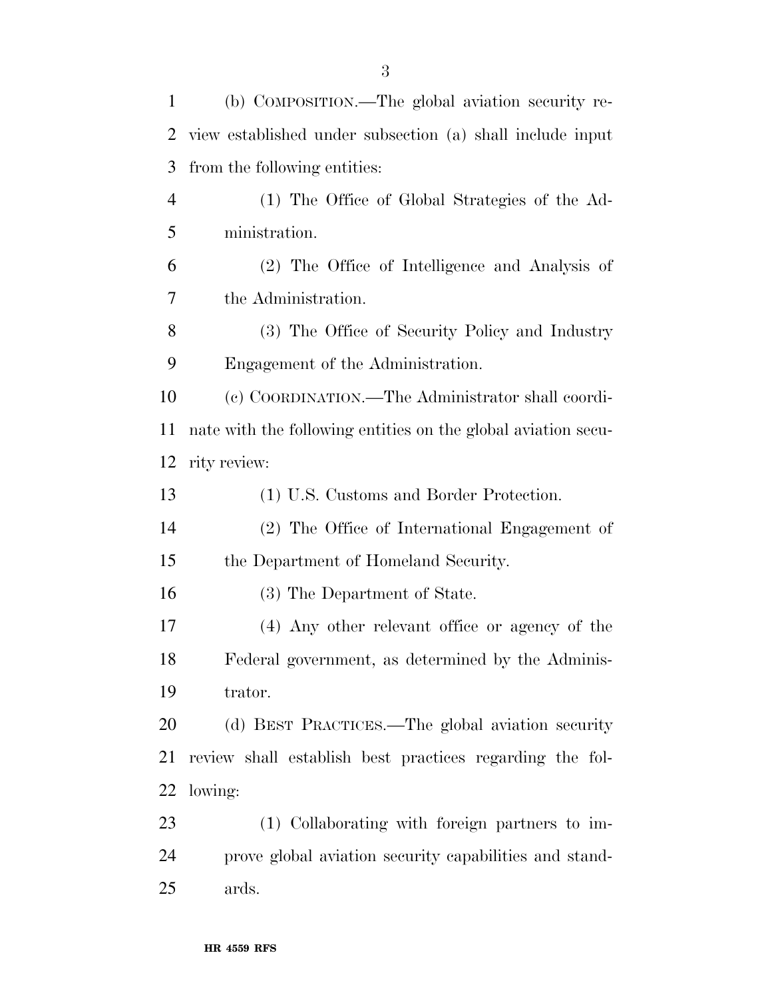| $\mathbf{1}$   | (b) COMPOSITION.—The global aviation security re-             |
|----------------|---------------------------------------------------------------|
| $\overline{2}$ | view established under subsection (a) shall include input     |
| 3              | from the following entities:                                  |
| $\overline{4}$ | (1) The Office of Global Strategies of the Ad-                |
| 5              | ministration.                                                 |
| 6              | (2) The Office of Intelligence and Analysis of                |
| 7              | the Administration.                                           |
| 8              | (3) The Office of Security Policy and Industry                |
| 9              | Engagement of the Administration.                             |
| 10             | (c) COORDINATION.—The Administrator shall coordi-             |
| 11             | nate with the following entities on the global aviation secu- |
| 12             | rity review:                                                  |
| 13             | (1) U.S. Customs and Border Protection.                       |
| 14             | (2) The Office of International Engagement of                 |
| 15             | the Department of Homeland Security.                          |
| 16             | (3) The Department of State.                                  |
| 17             | (4) Any other relevant office or agency of the                |
| 18             | Federal government, as determined by the Adminis-             |
| 19             | trator.                                                       |
| 20             | (d) BEST PRACTICES.—The global aviation security              |
| 21             | review shall establish best practices regarding the fol-      |
| 22             | lowing:                                                       |
| 23             | (1) Collaborating with foreign partners to im-                |
| 24             | prove global aviation security capabilities and stand-        |
| 25             | ards.                                                         |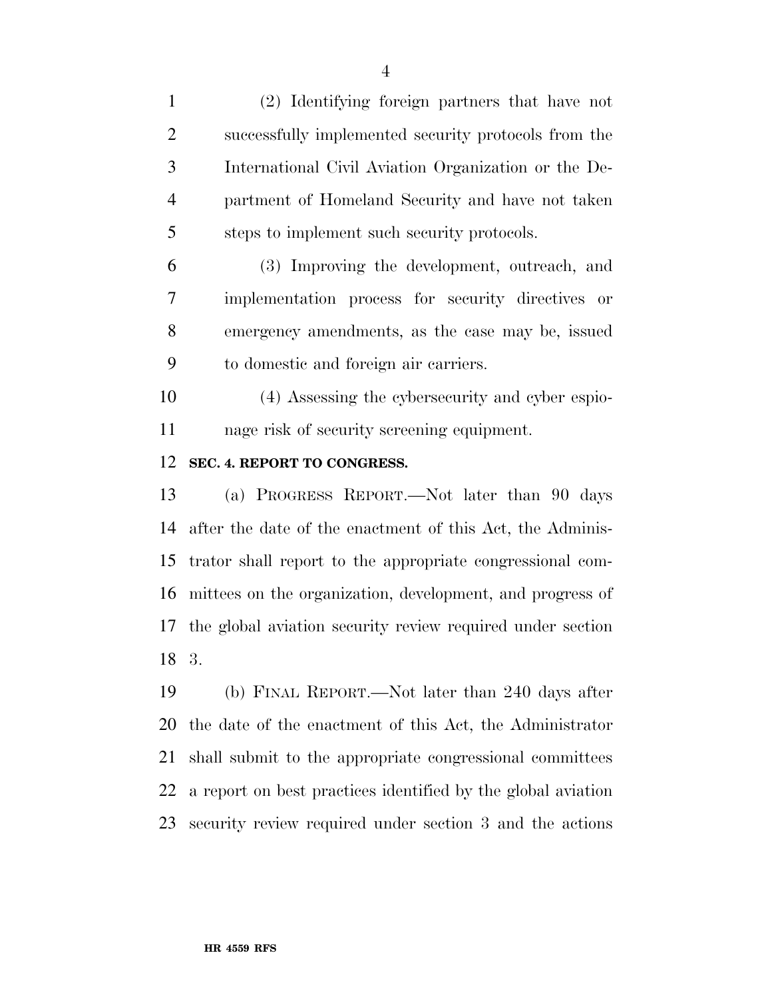(2) Identifying foreign partners that have not successfully implemented security protocols from the International Civil Aviation Organization or the De- partment of Homeland Security and have not taken steps to implement such security protocols.

 (3) Improving the development, outreach, and implementation process for security directives or emergency amendments, as the case may be, issued to domestic and foreign air carriers.

 (4) Assessing the cybersecurity and cyber espio-nage risk of security screening equipment.

### **SEC. 4. REPORT TO CONGRESS.**

 (a) PROGRESS REPORT.—Not later than 90 days after the date of the enactment of this Act, the Adminis- trator shall report to the appropriate congressional com- mittees on the organization, development, and progress of the global aviation security review required under section 3.

 (b) FINAL REPORT.—Not later than 240 days after the date of the enactment of this Act, the Administrator shall submit to the appropriate congressional committees a report on best practices identified by the global aviation security review required under section 3 and the actions